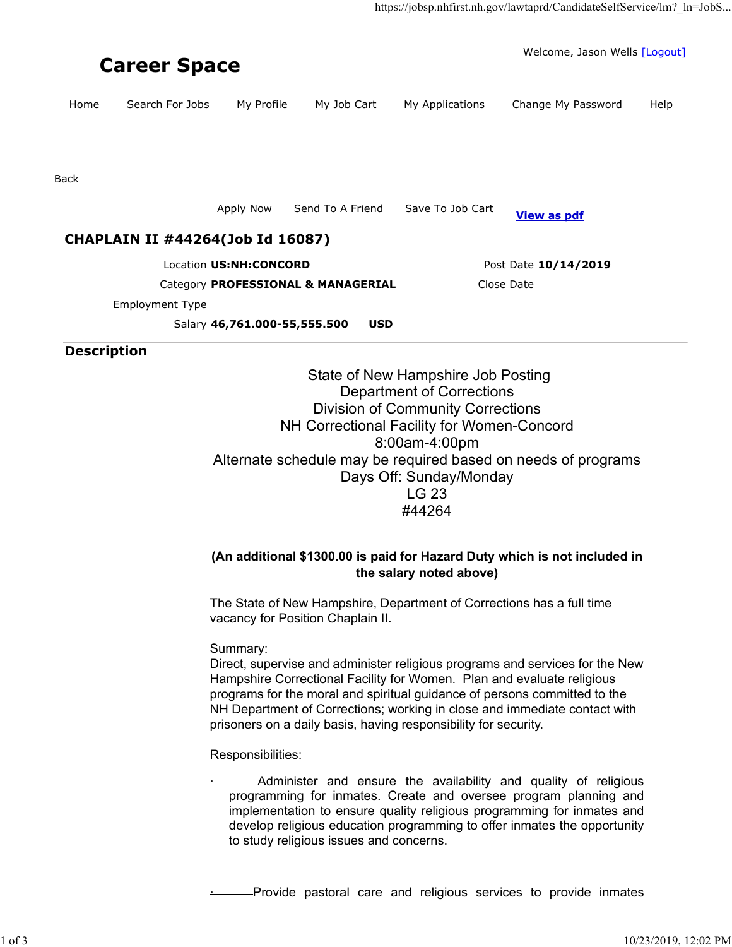| <b>Career Space</b> |                                    |                                                                 |                  |                      | Welcome, Jason Wells [Logout] |      |
|---------------------|------------------------------------|-----------------------------------------------------------------|------------------|----------------------|-------------------------------|------|
| Home                | Search For Jobs                    | My Profile                                                      | My Job Cart      | My Applications      | Change My Password            | Help |
|                     |                                    |                                                                 |                  |                      |                               |      |
| <b>Back</b>         |                                    |                                                                 |                  |                      |                               |      |
|                     |                                    | Apply Now                                                       | Send To A Friend | Save To Job Cart     | <b>View as pdf</b>            |      |
|                     | CHAPLAIN II #44264(Job Id 16087)   |                                                                 |                  |                      |                               |      |
|                     |                                    | Location US:NH:CONCORD                                          |                  | Post Date 10/14/2019 |                               |      |
|                     | Category PROFESSIONAL & MANAGERIAL |                                                                 |                  | Close Date           |                               |      |
|                     | Employment Type                    |                                                                 |                  |                      |                               |      |
|                     |                                    | Salary 46,761.000-55,555.500                                    | <b>USD</b>       |                      |                               |      |
| <b>Description</b>  |                                    |                                                                 |                  |                      |                               |      |
|                     |                                    | State of New Hampshire Job Posting<br>Denartment of Corrections |                  |                      |                               |      |

Department of Corrections Division of Community Corrections NH Correctional Facility for Women-Concord 8:00am-4:00pm Alternate schedule may be required based on needs of programs Days Off: Sunday/Monday LG 23 #44264

## **(An additional \$1300.00 is paid for Hazard Duty which is not included in the salary noted above)**

The State of New Hampshire, Department of Corrections has a full time vacancy for Position Chaplain II.

Summary:

Direct, supervise and administer religious programs and services for the New Hampshire Correctional Facility for Women. Plan and evaluate religious programs for the moral and spiritual guidance of persons committed to the NH Department of Corrections; working in close and immediate contact with prisoners on a daily basis, having responsibility for security.

Responsibilities:

Administer and ensure the availability and quality of religious programming for inmates. Create and oversee program planning and implementation to ensure quality religious programming for inmates and develop religious education programming to offer inmates the opportunity to study religious issues and concerns.

· Provide pastoral care and religious services to provide inmates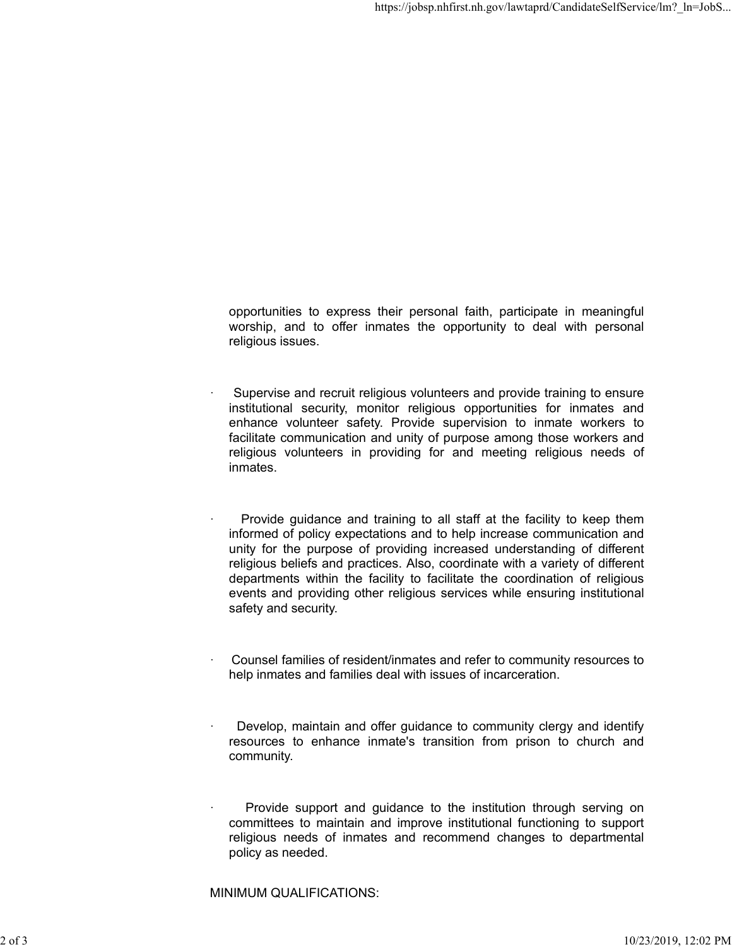opportunities to express their personal faith, participate in meaningful worship, and to offer inmates the opportunity to deal with personal religious issues.

- Supervise and recruit religious volunteers and provide training to ensure institutional security, monitor religious opportunities for inmates and enhance volunteer safety. Provide supervision to inmate workers to facilitate communication and unity of purpose among those workers and religious volunteers in providing for and meeting religious needs of inmates.
	- Provide guidance and training to all staff at the facility to keep them informed of policy expectations and to help increase communication and unity for the purpose of providing increased understanding of different religious beliefs and practices. Also, coordinate with a variety of different departments within the facility to facilitate the coordination of religious events and providing other religious services while ensuring institutional safety and security.
- Counsel families of resident/inmates and refer to community resources to help inmates and families deal with issues of incarceration.
- Develop, maintain and offer guidance to community clergy and identify resources to enhance inmate's transition from prison to church and community.
- Provide support and guidance to the institution through serving on committees to maintain and improve institutional functioning to support religious needs of inmates and recommend changes to departmental policy as needed.

MINIMUM QUALIFICATIONS: